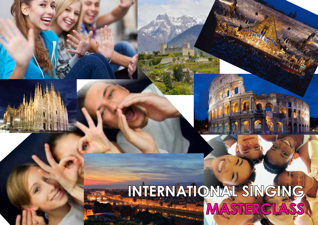# **INTERNATIONAL SINGING MASTERCLASS**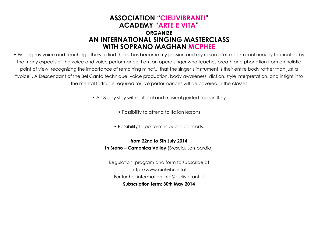# **ASSOCIATION "CIELIVIBRANTI" ACADEMY "ARTE E VITA" ORGANIZE AN INTERNATIONAL SINGING MASTERCLASS WITH SOPRANO MAGHAN MCPHEE**

• Finding my voice and teaching others to find theirs, has become my passion and my raison-d'etre. I am continuously fascinated by the many aspects of the voice and voice performance. I am an opera singer who teaches breath and phonation from an holistic point of view, recognizing the importance of remaining mindful that the singer's instrument is their entire body rather than just a "voice". A Descendant of the Bel Canto technique, voice production, body awareness, diction, style interpretation, and insight into the mental fortitude required for live performances will be covered in the classes

• A 13-day stay with cultural and musical guided tours in Italy

- Possibility to attend to Italian lessons
- Possibility to perform in public concerts.

**from 22nd to 5th July 2014 In Breno – Camonica Valley** (Brescia, Lombardia)

Regulation, program and form to subscribe at http://www.cielivibranti.it For further information info@cielivibranti.it **Subscription term: 30th May 2014**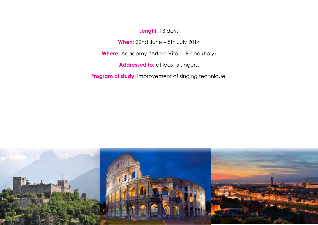**Lenght:** 13 days

**When:** 22nd June – 5th July 2014

**Where:** Academy "Arte e Vita" - Breno (Italy)

Addressed to: at least 5 singers.

**Program of study:** improvement of singing technique.

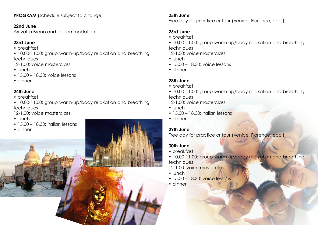**PROGRAM** (schedule subject to change)

#### **22nd June**

Arrival in Breno and accommodation.

# **23rd June**

• breakfast

• 10,00-11,00: group warm-up/body relaxation and breathing techniques

12-1,00: voice masterclass

- lunch
- $15.00 18.30$ ; voice lessons
- dinner

# **24th June**

- breakfast
- 10,00-11,00: group warm-up/body relaxation and breathing techniques
- 12-1,00: voice masterclass
- lunch
- 15,00 18,30: italian lessons
- dinner

#### **25th June**

Free day for practice or tour (Venice, Florence, ecc.).

# **26rd June**

- breakfast
- 10,00-11,00: group warm-up/body relaxation and breathing techniques

12-1,00: voice masterclass

- lunch
- 15,00 18,30: voice lessons
- dinner

## **28th June**

- breakfast
- 10,00-11,00: group warm-up/body relaxation and breathing techniques

12-1,00: voice masterclass

- lunch
- 15,00 18,30: italian lessons
- dinner

## **29th June**

Free day for practice or tour (Venice, Florence, ecc.).

## **30th June**

- breakfast
- 10,00-11,00: group warm-up/body relaxation and breathing **techniques**
- 12-1,00: voice masterclass
- lunch
- 15,00 18,30: voice lessons
- dinner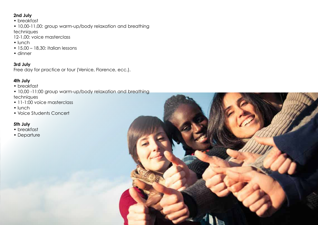#### **2nd July**

- breakfast
- 10,00-11,00: group warm-up/body relaxation and breathing

techniques

- 12-1,00: voice masterclass
- lunch
- 15,00 18,30: italian lessons
- dinner

**3rd July**  Free day for practice or tour (Venice, Florence, ecc.).

#### **4th July**

- breakfast
- 10,00 -11:00 group warm-up/body relaxation and breathing techniques
- 11-1:00 voice masterclass
- lunch
- Voice Students Concert

## **5th July**

- breakfast
- Departure

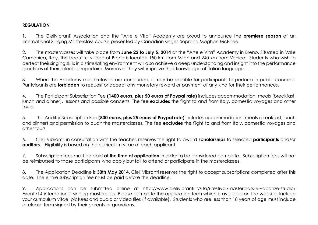#### **REGULATION**

1. The Cielivibranti Association and the "Arte e Vita" Academy are proud to announce the **premiere season** of an International Singing Masterclass course presented by Canadian singer, Soprano Maghan McPhee.

2. The masterclasses will take place from **June 22 to July 5, 2014** at the "Arte e Vita" Academy in Breno. Situated in Valle Camonica, Italy, the beautiful village of Breno is located 150 km from Milan and 240 km from Venice. Students who wish to perfect their singing skills in a stimulating environment will also achieve a deep understanding and insight into the performance practices of their selected repertoire. Moreover they will improve their knowledge of italian language.

3. When the Academy masterclasses are concluded, it may be possible for participants to perform in public concerts. Participants are **forbidden** to request or accept any monetary reward or payment of any kind for their performances.

4. The Participant Subscription Fee **(1400 euros, plus 50 euros of Paypal rate)** includes accommodation, meals (breakfast, lunch and dinner), lessons and possible concerts. The fee **excludes** the flight to and from Italy, domestic voyages and other tours.

5. The Auditor Subscription Fee **(800 euros, plus 25 euros of Paypal rate)** includes accommodation, meals (breakfast, lunch and dinner) and permission to audit the masterclasses. The fee **excludes** the flight to and from Italy, domestic voyages and other tours

6. Cieli Vibranti, in consultation with the teacher, reserves the right to award **scholarships** to selected **participants** and/or **auditors.** Eligibility is based on the curriculum vitae of each applicant.

7. Subscription fees must be paid **at the time of application** in order to be considered complete. Subscription fees will not be reimbursed to those participants who apply but fail to attend or participate in the masterclasses.

8. The Application Deadline is **30th May 2014**. Cieli Vibranti reserves the right to accept subscriptions completed after this date. The entire subscription fee must be paid before the deadline.

9. Applications can be submitted online at http://www.cielivibranti.it/sito/i-festival/masterclass-e-vacanze-studio/ Eventi/14-international-singing-masterclass. Please complete the application form which is available on the website. Include your curriculum vitae, pictures and audio or video files (if available). Students who are less than 18 years of age must include a release form signed by their parents or guardians.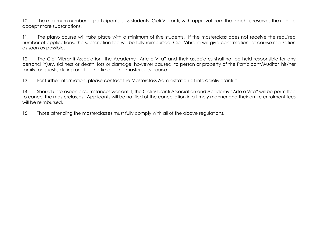10. The maximum number of participants is 15 students. Cieli Vibranti, with approval from the teacher, reserves the right to accept more subscriptions.

11. The piano course will take place with a minimum of five students. If the masterclass does not receive the required number of applications, the subscription fee will be fully reimbursed. Cieli Vibranti will give confirmation of course realization as soon as possible.

12. The Cieli Vibranti Association, the Academy "Arte e Vita" and their associates shall not be held responsible for any personal injury, sickness or death, loss or damage, however caused, to person or property of the Participant/Auditor, his/her family, or guests, during or after the time of the masterclass course.

13. For further information, please contact the Masterclass Administration at info@cielivibranti.it

14. Should unforeseen circumstances warrant it, the Cieli Vibranti Association and Academy "Arte e Vita" will be permitted to cancel the masterclasses. Applicants will be notified of the cancellation in a timely manner and their entire enrolment fees will be reimbursed.

15. Those attending the masterclasses must fully comply with all of the above regulations.